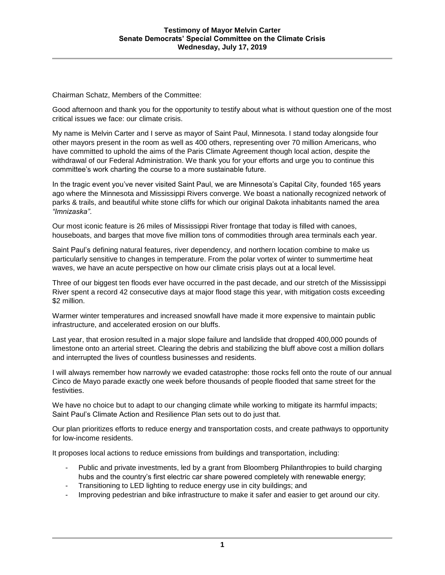Chairman Schatz, Members of the Committee:

Good afternoon and thank you for the opportunity to testify about what is without question one of the most critical issues we face: our climate crisis.

My name is Melvin Carter and I serve as mayor of Saint Paul, Minnesota. I stand today alongside four other mayors present in the room as well as 400 others, representing over 70 million Americans, who have committed to uphold the aims of the Paris Climate Agreement though local action, despite the withdrawal of our Federal Administration. We thank you for your efforts and urge you to continue this committee's work charting the course to a more sustainable future.

In the tragic event you've never visited Saint Paul, we are Minnesota's Capital City, founded 165 years ago where the Minnesota and Mississippi Rivers converge. We boast a nationally recognized network of parks & trails, and beautiful white stone cliffs for which our original Dakota inhabitants named the area *"Imnizaska"*.

Our most iconic feature is 26 miles of Mississippi River frontage that today is filled with canoes, houseboats, and barges that move five million tons of commodities through area terminals each year.

Saint Paul's defining natural features, river dependency, and northern location combine to make us particularly sensitive to changes in temperature. From the polar vortex of winter to summertime heat waves, we have an acute perspective on how our climate crisis plays out at a local level.

Three of our biggest ten floods ever have occurred in the past decade, and our stretch of the Mississippi River spent a record 42 consecutive days at major flood stage this year, with mitigation costs exceeding \$2 million.

Warmer winter temperatures and increased snowfall have made it more expensive to maintain public infrastructure, and accelerated erosion on our bluffs.

Last year, that erosion resulted in a major slope failure and landslide that dropped 400,000 pounds of limestone onto an arterial street. Clearing the debris and stabilizing the bluff above cost a million dollars and interrupted the lives of countless businesses and residents.

I will always remember how narrowly we evaded catastrophe: those rocks fell onto the route of our annual Cinco de Mayo parade exactly one week before thousands of people flooded that same street for the festivities.

We have no choice but to adapt to our changing climate while working to mitigate its harmful impacts; Saint Paul's Climate Action and Resilience Plan sets out to do just that.

Our plan prioritizes efforts to reduce energy and transportation costs, and create pathways to opportunity for low-income residents.

It proposes local actions to reduce emissions from buildings and transportation, including:

- Public and private investments, led by a grant from Bloomberg Philanthropies to build charging hubs and the country's first electric car share powered completely with renewable energy;
- Transitioning to LED lighting to reduce energy use in city buildings; and
- Improving pedestrian and bike infrastructure to make it safer and easier to get around our city.